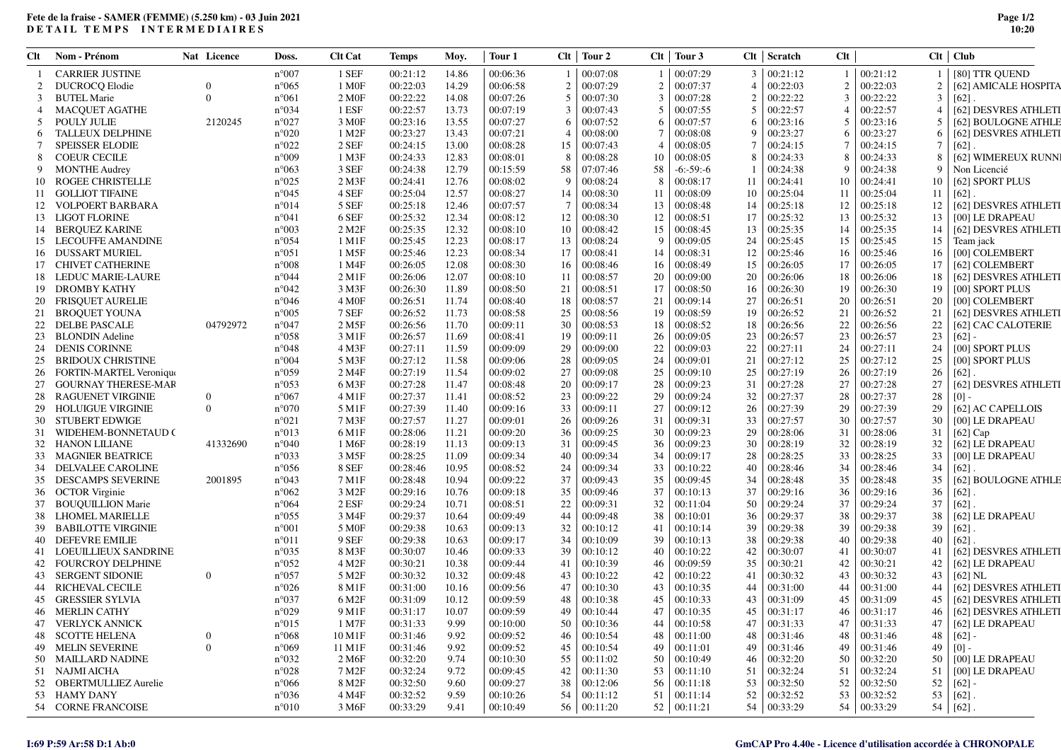## **Fete de la fraise - SAMER (FEMME) (5.250 km) - 03 Juin 2021DETAIL TEMPS INTERMEDIAIRES**

**Page 1/210:20**

| Clt | Nom - Prénom                   | Nat Licence      | Doss.          | <b>Clt Cat</b>         | Temps    | Moy.  | Tour 1   |                | $Clt$   Tour 2     |                | $Clt$   Tour 3     |                | $Clt$ Scratch      | Clt |                    |        | Clt   Club               |
|-----|--------------------------------|------------------|----------------|------------------------|----------|-------|----------|----------------|--------------------|----------------|--------------------|----------------|--------------------|-----|--------------------|--------|--------------------------|
|     | <b>CARRIER JUSTINE</b>         |                  | $n^{\circ}007$ | 1 SEF                  | 00:21:12 | 14.86 | 00:06:36 |                | 00:07:08           |                | 00:07:29           |                | 3   00:21:12       |     | 00:21:12           |        | [80] TTR QUEND           |
|     | <b>DUCROCQ Elodie</b>          |                  | $n^{\circ}065$ | 1 M <sub>OF</sub>      | 00:22:03 | 14.29 | 00:06:58 | $\overline{2}$ | 00:07:29           | 2              | 00:07:37           | $\overline{4}$ | 00:22:03           |     | 00:22:03           | 2      | [62] AMICALE HOSPITA     |
| -3  | <b>BUTEL Marie</b>             | $\Omega$         | $n^{\circ}061$ | 2 M0F                  | 00:22:22 | 14.08 | 00:07:26 | .5             | 00:07:30           | 3              | 00:07:28           | $\overline{2}$ | 00:22:22           |     | 00:22:22           | 3      | [62]                     |
|     | <b>MACQUET AGATHE</b>          |                  | n°034          | 1 ESF                  | 00:22:57 | 13.73 | 00:07:19 | 3              | 00:07:43           | .5             | 00:07:55           | 5              | 00:22:57           |     | 00:22:57           | 4      | [62] DESVRES ATHLETI     |
| -5  | <b>POULY JULIE</b>             | 2120245          | n°027          | 3 M <sub>OF</sub>      | 00:23:16 | 13.55 | 00:07:27 | -6             | 00:07:52           | 6              | 00:07:57           | -6             | 00:23:16           |     | 00:23:16           | 5      | [62] BOULOGNE ATHLE      |
| 6   | <b>TALLEUX DELPHINE</b>        |                  | $n^{\circ}020$ | 1 M2F                  | 00:23:27 | 13.43 | 00:07:21 | $\overline{4}$ | 00:08:00           |                | 00:08:08           | -9             | 00:23:27           |     | 00:23:27           | 6      | [62] DESVRES ATHLETI     |
|     | <b>SPEISSER ELODIE</b>         |                  | $n^{\circ}022$ | 2 SEF                  | 00:24:15 | 13.00 | 00:08:28 | 15             | 00:07:43           | $\overline{4}$ | 00:08:05           | 7              | 00:24:15           |     | 00:24:15           | $\tau$ | [62]                     |
| -8  | <b>COEUR CECILE</b>            |                  | n°009          | 1 M3F                  | 00:24:33 | 12.83 | 00:08:01 | 8              | 00:08:28           | 10             | 00:08:05           | 8              | 00:24:33           |     | 00:24:33           | 8      | [62] WIMEREUX RUNN       |
|     |                                |                  |                |                        |          |       |          |                |                    |                |                    |                |                    | 9   |                    | 9      |                          |
|     | <b>MONTHE Audrey</b>           |                  | $n^{\circ}063$ | 3 SEF                  | 00:24:38 | 12.79 | 00:15:59 | 58             | 07:07:46           | 58             | $-6: -59: -6$      |                | 00:24:38           |     | 00:24:38           |        | Non Licencié             |
| 10  | ROGEE CHRISTELLE               |                  | $n^{\circ}025$ | $2$ M $3F$             | 00:24:41 | 12.76 | 00:08:02 | 9              | 00:08:24           | 8              | 00:08:17           | 11             | 00:24:41           | 10  | 00:24:41           | 10     | [62] SPORT PLUS          |
|     | 11 GOLLIOT TIFAINE             |                  | $n^{\circ}045$ | 4 SEF                  | 00:25:04 | 12.57 | 00:08:27 | 14             | 00:08:30           | 11             | 00:08:09           | 10             | 00:25:04           | 11  | 00:25:04           | 11     | [62]                     |
|     | 12 VOLPOERT BARBARA            |                  | $n^{\circ}014$ | 5 SEF                  | 00:25:18 | 12.46 | 00:07:57 | 7              | 00:08:34           | 13             | 00:08:48           | 14             | 00:25:18           | 12  | 00:25:18           | 12     | [62] DESVRES ATHLETI     |
|     | 13 LIGOT FLORINE               |                  | n°041          | 6 SEF                  | 00:25:32 | 12.34 | 00:08:12 |                | 12 00:08:30        | 12             | 00:08:51           | 17             | 00:25:32           | 13  | 00:25:32           | 13     | <b>[00] LE DRAPEAU</b>   |
|     | 14 BERQUEZ KARINE              |                  | $n^{\circ}003$ | $2$ M <sub>2</sub> $F$ | 00:25:35 | 12.32 | 00:08:10 | 10             | 00:08:42           | 15             | 00:08:45           | 13             | 00:25:35           | 14  | 00:25:35           | 14     | [62] DESVRES ATHLETI     |
|     | 15 LECOUFFE AMANDINE           |                  | $n^{\circ}054$ | 1 M1F                  | 00:25:45 | 12.23 | 00:08:17 |                | 13 00:08:24        | -9             | 00:09:05           | 24             | 00:25:45           | 15  | 00:25:45           | 15     | Team jack                |
|     | 16 DUSSART MURIEL              |                  | $n^{\circ}051$ | 1 M5F                  | 00:25:46 | 12.23 | 00:08:34 |                | $17 \mid 00:08:41$ | 14             | 00:08:31           | 12             | 00:25:46           | 16  | 00:25:46           | 16     | [00] COLEMBERT           |
|     | 17 CHIVET CATHERINE            |                  | $n^{\circ}008$ | 1 M4F                  | 00:26:05 | 12.08 | 00:08:30 | 16             | 00:08:46           | 16             | 00:08:49           | 15             | 00:26:05           | 17  | 00:26:05           | 17     | [62] COLEMBERT           |
|     | 18 LEDUC MARIE-LAURE           |                  | n°044          | $2$ M <sub>1</sub> F   | 00:26:06 | 12.07 | 00:08:10 | 11             | 00:08:57           | 20             | 00:09:00           | 20             | 00:26:06           | 18  | 00:26:06           | 18     | [62] DESVRES ATHLETI     |
| 19  | DROMBY KATHY                   |                  | $n^{\circ}042$ | 3 M3F                  | 00:26:30 | 11.89 | 00:08:50 | 21             | 00:08:51           | 17             | 00:08:50           | 16             | 00:26:30           | 19  | 00:26:30           | 19     | [00] SPORT PLUS          |
|     | 20 FRISQUET AURELIE            |                  | $n^{\circ}046$ | 4 M <sub>OF</sub>      | 00:26:51 | 11.74 | 00:08:40 | 18             | 00:08:57           | 21             | 00:09:14           | 27             | 00:26:51           | 20  | 00:26:51           | 20     | [00] COLEMBERT           |
| 21  | <b>BROQUET YOUNA</b>           |                  | $n^{\circ}005$ | 7 SEF                  | 00:26:52 | 11.73 | 00:08:58 | 25             | 00:08:56           | 19             | 00:08:59           | 19             | 00:26:52           | 21  | 00:26:52           | 21     | [62] DESVRES ATHLETI     |
| 22  | DELBE PASCALE                  | 04792972         | $n^{\circ}047$ | 2 M <sub>5</sub> F     | 00:26:56 | 11.70 | 00:09:11 | 30             | 00:08:53           | 18             | 00:08:52           | 18             | 00:26:56           | 22  | 00:26:56           | 22     | [62] CAC CALOTERIE       |
|     |                                |                  |                |                        |          |       |          |                |                    |                |                    |                |                    |     |                    |        |                          |
| 23  | <b>BLONDIN</b> Adeline         |                  | $n^{\circ}058$ | 3 M1F                  | 00:26:57 | 11.69 | 00:08:41 | 19             | 00:09:11           | 26             | 00:09:05           | 23             | 00:26:57           | 23  | 00:26:57           | 23     | $[62] -$                 |
| 24  | <b>DENIS CORINNE</b>           |                  | $n^{\circ}048$ | 4 M3F                  | 00:27:11 | 11.59 | 00:09:09 | 29             | 00:09:00           | 22             | 00:09:03           | 22             | 00:27:11           | 24  | 00:27:11           | 24     | [00] SPORT PLUS          |
| 25  | <b>BRIDOUX CHRISTINE</b>       |                  | n°004          | 5 M3F                  | 00:27:12 | 11.58 | 00:09:06 | 28             | 00:09:05           | 24             | 00:09:01           | 21             | 00:27:12           | 25  | 00:27:12           | 25     | [00] SPORT PLUS          |
| 26  | <b>FORTIN-MARTEL Veronique</b> |                  | n°059          | 2 M <sub>4</sub> F     | 00:27:19 | 11.54 | 00:09:02 | 27             | 00:09:08           | 25             | 00:09:10           | 25             | 00:27:19           | 26  | 00:27:19           | 26     | [62]                     |
| 27  | GOURNAY THERESE-MAR            |                  | $n^{\circ}053$ | 6 M3F                  | 00:27:28 | 11.47 | 00:08:48 | 20             | 00:09:17           | 28             | 00:09:23           | 31             | 00:27:28           | 27  | 00:27:28           | 27     | [62] DESVRES ATHLETI     |
| 28  | RAGUENET VIRGINIE              | $\Omega$         | $n^{\circ}067$ | 4 M1F                  | 00:27:37 | 11.41 | 00:08:52 | 23             | 00:09:22           | 29             | 00:09:24           | 32             | 00:27:37           | 28  | 00:27:37           | 28     | $[0]$ -                  |
| 29  | <b>HOLUIGUE VIRGINIE</b>       | $\Omega$         | $n^{\circ}070$ | 5 M1F                  | 00:27:39 | 11.40 | 00:09:16 | 33             | 00:09:11           | 27             | 00:09:12           | 26             | 00:27:39           | 29  | 00:27:39           | 29     | [62] AC CAPELLOIS        |
| 30  | STUBERT EDWIGE                 |                  | n°021          | 7 M3F                  | 00:27:57 | 11.27 | 00:09:01 | 26             | 00:09:26           | 31             | 00:09:31           | 33             | 00:27:57           | 30  | 00:27:57           | 30     | [00] LE DRAPEAU          |
| 31  | WIDEHEM-BONNETAUD (            |                  | n°013          | 6 M1F                  | 00:28:06 | 11.21 | 00:09:20 | 36             | 00:09:25           | 30             | 00:09:23           | 29             | 00:28:06           | 31  | 00:28:06           | 31     | $[62]$ Cap               |
|     | 32 HANON LILIANE               | 41332690         | $n^{\circ}040$ | 1 M6F                  | 00:28:19 | 11.13 | 00:09:13 | 31             | 00:09:45           | 36             | 00:09:23           | 30             | 00:28:19           | 32  | 00:28:19           | 32     | [62] LE DRAPEAU          |
| 33  | MAGNIER BEATRICE               |                  | $n^{\circ}033$ | 3 M <sub>5</sub> F     | 00:28:25 | 11.09 | 00:09:34 | 40             | 00:09:34           | 34             | 00:09:17           | 28             | 00:28:25           | 33  | 00:28:25           | 33     | [00] LE DRAPEAU          |
|     | 34 DELVALEE CAROLINE           |                  | $n^{\circ}056$ | 8 SEF                  | 00:28:46 | 10.95 | 00:08:52 | 24             | 00:09:34           | 33             | 00:10:22           | 40             | 00:28:46           | 34  | 00:28:46           | 34     | [62]                     |
|     | 35 DESCAMPS SEVERINE           | 2001895          | n°043          | 7 M1F                  | 00:28:48 | 10.94 | 00:09:22 | 37             | 00:09:43           | 35             | 00:09:45           | 34             | 00:28:48           | 35  | 00:28:48           | 35     | [62] BOULOGNE ATHLE      |
|     | 36 OCTOR Virginie              |                  | $n^{\circ}062$ | 3 M <sub>2</sub> F     | 00:29:16 | 10.76 | 00:09:18 | 35             | 00:09:46           | 37             | 00:10:13           | 37             | 00:29:16           | 36  | 00:29:16           | 36     | $[62]$                   |
|     |                                |                  | $n^{\circ}064$ | 2 ESF                  |          |       |          |                | 00:09:31           |                |                    | 50             |                    | 37  | 00:29:24           | 37     |                          |
| 37  | <b>BOUQUILLION Marie</b>       |                  |                |                        | 00:29:24 | 10.71 | 00:08:51 | 22             |                    | 32             | 00:11:04           |                | 00:29:24           |     |                    |        | $[62]$                   |
| 38  | LHOMEL MARIELLE                |                  | $n^{\circ}055$ | 3 M4F                  | 00:29:37 | 10.64 | 00:09:49 | 44             | 00:09:48           | 38             | 00:10:01           | 36             | 00:29:37           | 38  | 00:29:37           | 38     | [62] LE DRAPEAU          |
| 39  | <b>BABILOTTE VIRGINIE</b>      |                  | $n^{\circ}001$ | 5 M <sub>OF</sub>      | 00:29:38 | 10.63 | 00:09:13 | 32             | 00:10:12           | 41             | 00:10:14           | 39             | 00:29:38           | 39  | 00:29:38           | 39     | $[62]$                   |
|     | 40 DEFEVRE EMILIE              |                  | $n^{\circ}011$ | 9 SEF                  | 00:29:38 | 10.63 | 00:09:17 | 34             | 00:10:09           | 39             | 00:10:13           | 38             | 00:29:38           | 40  | 00:29:38           | 40     | [62]                     |
| 41  | <b>LOEUILLIEUX SANDRINE</b>    |                  | $n^{\circ}035$ | 8 M3F                  | 00:30:07 | 10.46 | 00:09:33 | 39             | 00:10:12           | 40             | 00:10:22           | 42             | 00:30:07           | 41  | 00:30:07           | 41     | [62] DESVRES ATHLETI     |
| 42  | FOURCROY DELPHINE              |                  | $n^{\circ}052$ | 4 M2F                  | 00:30:21 | 10.38 | 00:09:44 | 41             | 00:10:39           | 46             | 00:09:59           | 35             | 00:30:21           | 42  | 00:30:21           | 42     | [62] LE DRAPEAU          |
| 43  | SERGENT SIDONIE                | $\theta$         | $n^{\circ}057$ | 5 M2F                  | 00:30:32 | 10.32 | 00:09:48 | 43             | 00:10:22           | 42             | 00:10:22           | 41             | 00:30:32           | 43  | 00:30:32           | 43     | $[62]$ NL                |
| 44  | RICHEVAL CECILE                |                  | $n^{\circ}026$ | 8 M1F                  | 00:31:00 | 10.16 | 00:09:56 | 47             | 00:10:30           | 43             | 00:10:35           | 44             | 00:31:00           | 44  | 00:31:00           | 44     | [62] DESVRES ATHLETI     |
|     | 45 GRESSIER SYLVIA             |                  | n°037          | 6 M2F                  | 00:31:09 | 10.12 | 00:09:59 | 48             | 00:10:38           | 45             | 00:10:33           | 43             | 00:31:09           | 45  | 00:31:09           | 45     | [62] DESVRES ATHLETI     |
|     | 46 MERLIN CATHY                |                  | n°029          | 9 M1F                  | 00:31:17 | 10.07 | 00:09:59 | 49             | 00:10:44           |                | 47   00:10:35      |                | $45 \mid 00:31:17$ | 46  | 00:31:17           | 46     | [62] DESVRES ATHLETI     |
|     | 47 VERLYCK ANNICK              |                  | $n^{\circ}015$ | 1 M7F                  | 00:31:33 | 9.99  | 00:10:00 |                | 50 00:10:36        |                | $44 \mid 00:10:58$ |                | 47 00:31:33        |     | $47 \mid 00:31:33$ |        | 47   [62] LE DRAPEAU     |
|     | 48 SCOTTE HELENA               | $\overline{0}$   | $n^{\circ}068$ | 10 M1F                 | 00:31:46 | 9.92  | 00:09:52 |                | 46 00:10:54        |                | $48 \mid 00:11:00$ |                | 48 00:31:46        |     | 48   00:31:46      |        | $48$ [62] -              |
|     | <b>49 MELIN SEVERINE</b>       | $\boldsymbol{0}$ | $n^{\circ}069$ | 11 M1F                 | 00:31:46 | 9.92  | 00:09:52 | 45             | 00:10:54           | 49             | 00:11:01           | 49             | 00:31:46           | 49  | 00:31:46           | 49     | $[0]$ -                  |
|     | 50 MAILLARD NADINE             |                  | $n^{\circ}032$ | 2 M6F                  | 00:32:20 | 9.74  | 00:10:30 |                | 55 00:11:02        |                | $50 \mid 00:10:49$ |                | 46 00:32:20        |     | $50 \mid 00:32:20$ | 50     | [00] LE DRAPEAU          |
|     |                                |                  |                |                        |          |       |          |                |                    |                |                    |                |                    |     |                    |        | $51$   $[00]$ LE DRAPEAU |
|     | 51 NAJMI AICHA                 |                  | $n^{\circ}028$ | 7 M2F                  | 00:32:24 | 9.72  | 00:09:45 |                | 42 00:11:30        |                | $53 \mid 00:11:10$ |                | $51 \mid 00:32:24$ | 51  | 00:32:24           |        |                          |
|     | 52 OBERTMULLIEZ Aurelie        |                  | $n^{\circ}066$ | 8 M2F                  | 00:32:50 | 9.60  | 00:09:27 |                | 38 00:12:06        |                | $56 \mid 00:11:18$ |                | 53   00:32:50      |     | $52 \mid 00:32:50$ |        | $52$ [62] -              |
|     | 53 HAMY DANY                   |                  | $n^{\circ}036$ | 4 M4F                  | 00:32:52 | 9.59  | 00:10:26 |                | $54 \mid 00:11:12$ |                | $51 \mid 00:11:14$ |                | 52 00:32:52        |     | 53 00:32:52        |        | $53   [62]$ .            |
|     | 54 CORNE FRANCOISE             |                  | $n^{\circ}010$ | 3 M6F                  | 00:33:29 | 9.41  | 00:10:49 |                | 56 00:11:20        |                | $52 \mid 00:11:21$ |                | 54 00:33:29        |     | $54 \mid 00:33:29$ |        | $54$ [62].               |